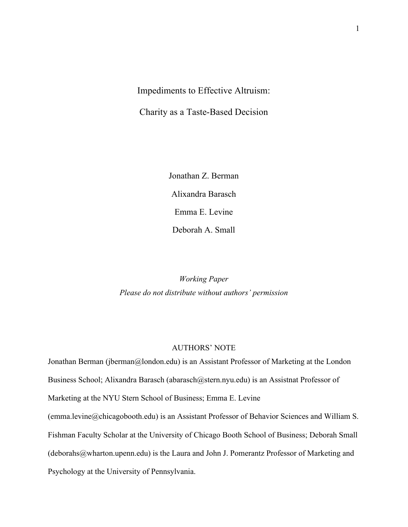# Impediments to Effective Altruism:

Charity as a Taste-Based Decision

Jonathan Z. Berman Alixandra Barasch Emma E. Levine Deborah A. Small

*Working Paper Please do not distribute without authors' permission*

### AUTHORS' NOTE

Jonathan Berman (jberman@london.edu) is an Assistant Professor of Marketing at the London Business School; Alixandra Barasch (abarasch@stern.nyu.edu) is an Assistnat Professor of Marketing at the NYU Stern School of Business; Emma E. Levine (emma.levine@chicagobooth.edu) is an Assistant Professor of Behavior Sciences and William S. Fishman Faculty Scholar at the University of Chicago Booth School of Business; Deborah Small (deborahs@wharton.upenn.edu) is the Laura and John J. Pomerantz Professor of Marketing and Psychology at the University of Pennsylvania.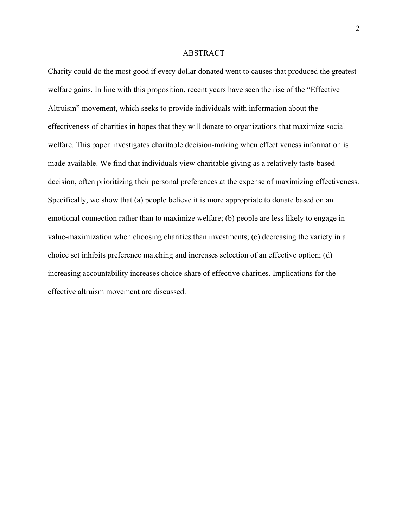#### ABSTRACT

Charity could do the most good if every dollar donated went to causes that produced the greatest welfare gains. In line with this proposition, recent years have seen the rise of the "Effective Altruism" movement, which seeks to provide individuals with information about the effectiveness of charities in hopes that they will donate to organizations that maximize social welfare. This paper investigates charitable decision-making when effectiveness information is made available. We find that individuals view charitable giving as a relatively taste-based decision, often prioritizing their personal preferences at the expense of maximizing effectiveness. Specifically, we show that (a) people believe it is more appropriate to donate based on an emotional connection rather than to maximize welfare; (b) people are less likely to engage in value-maximization when choosing charities than investments; (c) decreasing the variety in a choice set inhibits preference matching and increases selection of an effective option; (d) increasing accountability increases choice share of effective charities. Implications for the effective altruism movement are discussed.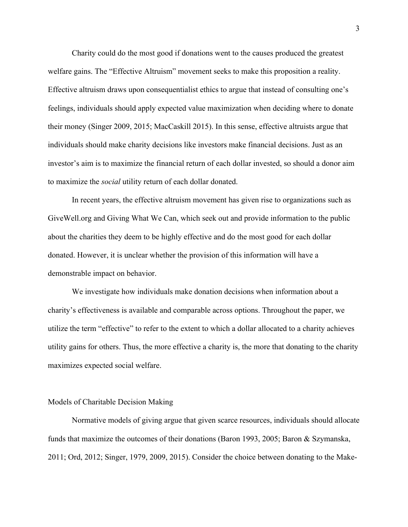Charity could do the most good if donations went to the causes produced the greatest welfare gains. The "Effective Altruism" movement seeks to make this proposition a reality. Effective altruism draws upon consequentialist ethics to argue that instead of consulting one's feelings, individuals should apply expected value maximization when deciding where to donate their money (Singer 2009, 2015; MacCaskill 2015). In this sense, effective altruists argue that individuals should make charity decisions like investors make financial decisions. Just as an investor's aim is to maximize the financial return of each dollar invested, so should a donor aim to maximize the *social* utility return of each dollar donated.

In recent years, the effective altruism movement has given rise to organizations such as GiveWell.org and Giving What We Can, which seek out and provide information to the public about the charities they deem to be highly effective and do the most good for each dollar donated. However, it is unclear whether the provision of this information will have a demonstrable impact on behavior.

We investigate how individuals make donation decisions when information about a charity's effectiveness is available and comparable across options. Throughout the paper, we utilize the term "effective" to refer to the extent to which a dollar allocated to a charity achieves utility gains for others. Thus, the more effective a charity is, the more that donating to the charity maximizes expected social welfare.

#### Models of Charitable Decision Making

Normative models of giving argue that given scarce resources, individuals should allocate funds that maximize the outcomes of their donations (Baron 1993, 2005; Baron & Szymanska, 2011; Ord, 2012; Singer, 1979, 2009, 2015). Consider the choice between donating to the Make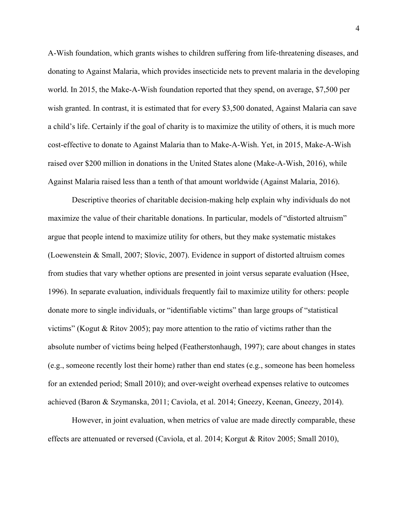A-Wish foundation, which grants wishes to children suffering from life-threatening diseases, and donating to Against Malaria, which provides insecticide nets to prevent malaria in the developing world. In 2015, the Make-A-Wish foundation reported that they spend, on average, \$7,500 per wish granted. In contrast, it is estimated that for every \$3,500 donated, Against Malaria can save a child's life. Certainly if the goal of charity is to maximize the utility of others, it is much more cost-effective to donate to Against Malaria than to Make-A-Wish. Yet, in 2015, Make-A-Wish raised over \$200 million in donations in the United States alone (Make-A-Wish, 2016), while Against Malaria raised less than a tenth of that amount worldwide (Against Malaria, 2016).

Descriptive theories of charitable decision-making help explain why individuals do not maximize the value of their charitable donations. In particular, models of "distorted altruism" argue that people intend to maximize utility for others, but they make systematic mistakes (Loewenstein & Small, 2007; Slovic, 2007). Evidence in support of distorted altruism comes from studies that vary whether options are presented in joint versus separate evaluation (Hsee, 1996). In separate evaluation, individuals frequently fail to maximize utility for others: people donate more to single individuals, or "identifiable victims" than large groups of "statistical victims" (Kogut & Ritov 2005); pay more attention to the ratio of victims rather than the absolute number of victims being helped (Featherstonhaugh, 1997); care about changes in states (e.g., someone recently lost their home) rather than end states (e.g., someone has been homeless for an extended period; Small 2010); and over-weight overhead expenses relative to outcomes achieved (Baron & Szymanska, 2011; Caviola, et al. 2014; Gneezy, Keenan, Gneezy, 2014).

However, in joint evaluation, when metrics of value are made directly comparable, these effects are attenuated or reversed (Caviola, et al. 2014; Korgut & Ritov 2005; Small 2010),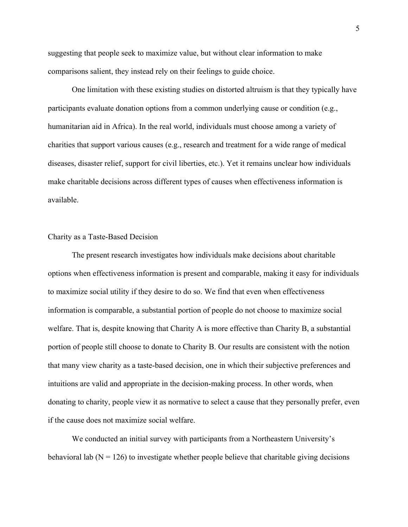suggesting that people seek to maximize value, but without clear information to make comparisons salient, they instead rely on their feelings to guide choice.

One limitation with these existing studies on distorted altruism is that they typically have participants evaluate donation options from a common underlying cause or condition (e.g., humanitarian aid in Africa). In the real world, individuals must choose among a variety of charities that support various causes (e.g., research and treatment for a wide range of medical diseases, disaster relief, support for civil liberties, etc.). Yet it remains unclear how individuals make charitable decisions across different types of causes when effectiveness information is available.

#### Charity as a Taste-Based Decision

The present research investigates how individuals make decisions about charitable options when effectiveness information is present and comparable, making it easy for individuals to maximize social utility if they desire to do so. We find that even when effectiveness information is comparable, a substantial portion of people do not choose to maximize social welfare. That is, despite knowing that Charity A is more effective than Charity B, a substantial portion of people still choose to donate to Charity B. Our results are consistent with the notion that many view charity as a taste-based decision, one in which their subjective preferences and intuitions are valid and appropriate in the decision-making process. In other words, when donating to charity, people view it as normative to select a cause that they personally prefer, even if the cause does not maximize social welfare.

We conducted an initial survey with participants from a Northeastern University's behavioral lab  $(N = 126)$  to investigate whether people believe that charitable giving decisions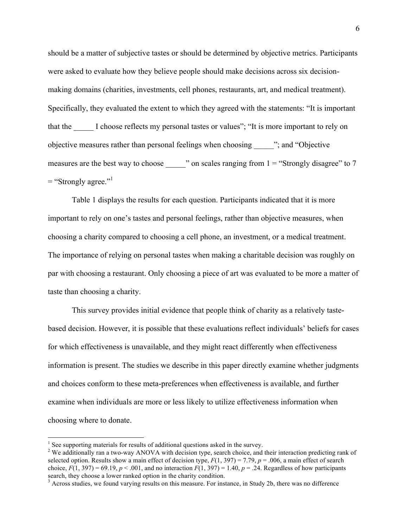should be a matter of subjective tastes or should be determined by objective metrics. Participants were asked to evaluate how they believe people should make decisions across six decisionmaking domains (charities, investments, cell phones, restaurants, art, and medical treatment). Specifically, they evaluated the extent to which they agreed with the statements: "It is important that the I choose reflects my personal tastes or values"; "It is more important to rely on objective measures rather than personal feelings when choosing \_\_\_\_\_"; and "Objective measures are the best way to choose \_\_\_\_\_\_" on scales ranging from 1 = "Strongly disagree" to 7  $=$  "Strongly agree."<sup>1</sup>

Table 1 displays the results for each question. Participants indicated that it is more important to rely on one's tastes and personal feelings, rather than objective measures, when choosing a charity compared to choosing a cell phone, an investment, or a medical treatment. The importance of relying on personal tastes when making a charitable decision was roughly on par with choosing a restaurant. Only choosing a piece of art was evaluated to be more a matter of taste than choosing a charity.

This survey provides initial evidence that people think of charity as a relatively tastebased decision. However, it is possible that these evaluations reflect individuals' beliefs for cases for which effectiveness is unavailable, and they might react differently when effectiveness information is present. The studies we describe in this paper directly examine whether judgments and choices conform to these meta-preferences when effectiveness is available, and further examine when individuals are more or less likely to utilize effectiveness information when choosing where to donate.

 $<sup>1</sup>$  See supporting materials for results of additional questions asked in the survey.</sup>

<sup>&</sup>lt;sup>2</sup> We additionally ran a two-way ANOVA with decision type, search choice, and their interaction predicting rank of selected option. Results show a main effect of decision type,  $F(1, 397) = 7.79$ ,  $p = .006$ , a main effect of search choice,  $F(1, 397) = 69.19$ ,  $p < .001$ , and no interaction  $F(1, 397) = 1.40$ ,  $p = .24$ . Regardless of how participants search, they choose a lower ranked option in the charity condition.<br><sup>3</sup> Across studies, we found varying results on this measure. For instance, in Study 2b, there was no difference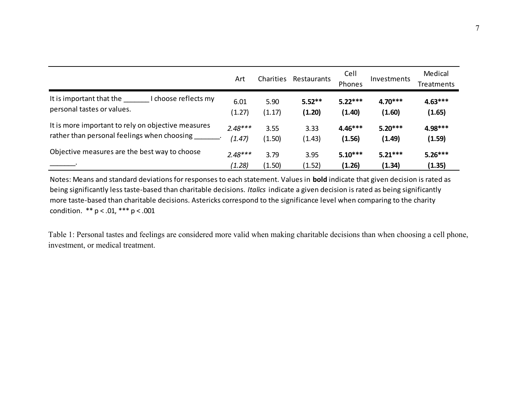|                                                                                | Art            | Charities      | Restaurants        | Cell<br>Phones      | Investments         | Medical<br>Treatments |
|--------------------------------------------------------------------------------|----------------|----------------|--------------------|---------------------|---------------------|-----------------------|
| I choose reflects my<br>It is important that the<br>personal tastes or values. | 6.01<br>(1.27) | 5.90<br>(1.17) | $5.52**$<br>(1.20) | $5.22***$<br>(1.40) | $4.70***$<br>(1.60) | $4.63***$<br>(1.65)   |
| It is more important to rely on objective measures                             | $2.48***$      | 3.55           | 3.33               | $4.46***$           | $5.20***$           | 4.98***               |
| rather than personal feelings when choosing                                    | (1.47)         | (1.50)         | (1.43)             | (1.56)              | (1.49)              | (1.59)                |
| Objective measures are the best way to choose                                  | $2.48***$      | 3.79           | 3.95               | $5.10***$           | $5.21***$           | $5.26***$             |
|                                                                                | (1.28)         | (1.50)         | (1.52)             | (1.26)              | (1.34)              | (1.35)                |

Notes: Means and standard deviations for responses to each statement. Values in **bold** indicate that given decision is rated as being significantly less taste-based than charitable decisions. Italics indicate a given decision is rated as being significantly more taste-based than charitable decisions. Astericks correspond to the significance level when comparing to the charity condition.  $** p < .01, ** p < .001$ 

Table 1: Personal tastes and feelings are considered more valid when making charitable decisions than when choosing a cell phone, investment, or medical treatment.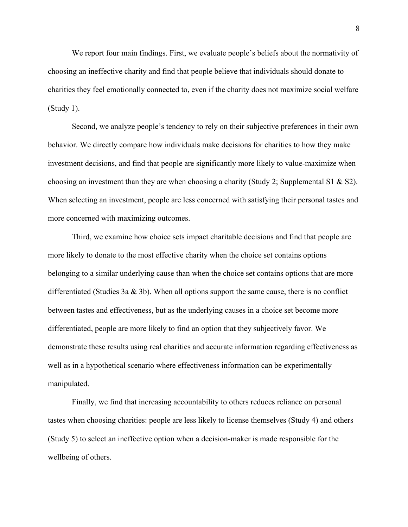We report four main findings. First, we evaluate people's beliefs about the normativity of choosing an ineffective charity and find that people believe that individuals should donate to charities they feel emotionally connected to, even if the charity does not maximize social welfare (Study 1).

Second, we analyze people's tendency to rely on their subjective preferences in their own behavior. We directly compare how individuals make decisions for charities to how they make investment decisions, and find that people are significantly more likely to value-maximize when choosing an investment than they are when choosing a charity (Study 2; Supplemental S1 & S2). When selecting an investment, people are less concerned with satisfying their personal tastes and more concerned with maximizing outcomes.

Third, we examine how choice sets impact charitable decisions and find that people are more likely to donate to the most effective charity when the choice set contains options belonging to a similar underlying cause than when the choice set contains options that are more differentiated (Studies 3a & 3b). When all options support the same cause, there is no conflict between tastes and effectiveness, but as the underlying causes in a choice set become more differentiated, people are more likely to find an option that they subjectively favor. We demonstrate these results using real charities and accurate information regarding effectiveness as well as in a hypothetical scenario where effectiveness information can be experimentally manipulated.

Finally, we find that increasing accountability to others reduces reliance on personal tastes when choosing charities: people are less likely to license themselves (Study 4) and others (Study 5) to select an ineffective option when a decision-maker is made responsible for the wellbeing of others.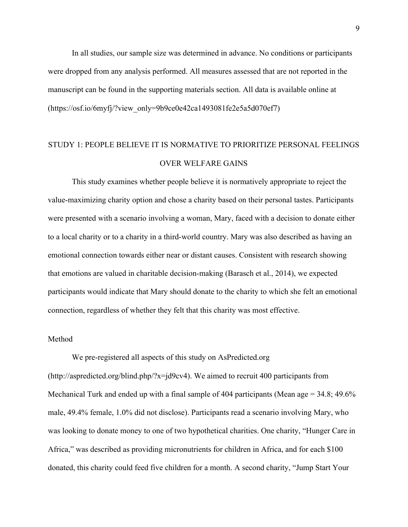In all studies, our sample size was determined in advance. No conditions or participants were dropped from any analysis performed. All measures assessed that are not reported in the manuscript can be found in the supporting materials section. All data is available online at (https://osf.io/6myfj/?view\_only=9b9ce0e42ca1493081fe2e5a5d070ef7)

# STUDY 1: PEOPLE BELIEVE IT IS NORMATIVE TO PRIORITIZE PERSONAL FEELINGS OVER WELFARE GAINS

This study examines whether people believe it is normatively appropriate to reject the value-maximizing charity option and chose a charity based on their personal tastes. Participants were presented with a scenario involving a woman, Mary, faced with a decision to donate either to a local charity or to a charity in a third-world country. Mary was also described as having an emotional connection towards either near or distant causes. Consistent with research showing that emotions are valued in charitable decision-making (Barasch et al., 2014), we expected participants would indicate that Mary should donate to the charity to which she felt an emotional connection, regardless of whether they felt that this charity was most effective.

#### Method

We pre-registered all aspects of this study on AsPredicted.org (http://aspredicted.org/blind.php/?x=jd9cv4). We aimed to recruit 400 participants from Mechanical Turk and ended up with a final sample of 404 participants (Mean age = 34.8; 49.6%) male, 49.4% female, 1.0% did not disclose). Participants read a scenario involving Mary, who was looking to donate money to one of two hypothetical charities. One charity, "Hunger Care in Africa," was described as providing micronutrients for children in Africa, and for each \$100 donated, this charity could feed five children for a month. A second charity, "Jump Start Your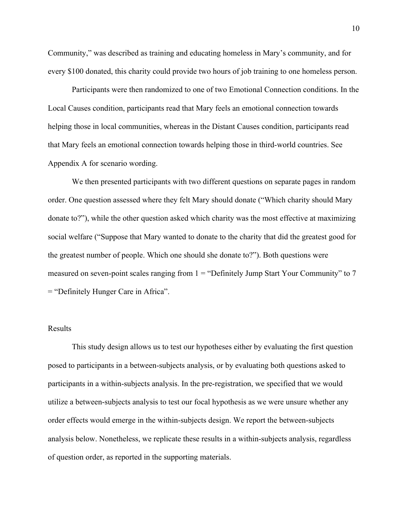Community," was described as training and educating homeless in Mary's community, and for every \$100 donated, this charity could provide two hours of job training to one homeless person.

Participants were then randomized to one of two Emotional Connection conditions. In the Local Causes condition, participants read that Mary feels an emotional connection towards helping those in local communities, whereas in the Distant Causes condition, participants read that Mary feels an emotional connection towards helping those in third-world countries. See Appendix A for scenario wording.

We then presented participants with two different questions on separate pages in random order. One question assessed where they felt Mary should donate ("Which charity should Mary donate to?"), while the other question asked which charity was the most effective at maximizing social welfare ("Suppose that Mary wanted to donate to the charity that did the greatest good for the greatest number of people. Which one should she donate to?"). Both questions were measured on seven-point scales ranging from  $1 =$  "Definitely Jump Start Your Community" to 7 = "Definitely Hunger Care in Africa".

#### Results

This study design allows us to test our hypotheses either by evaluating the first question posed to participants in a between-subjects analysis, or by evaluating both questions asked to participants in a within-subjects analysis. In the pre-registration, we specified that we would utilize a between-subjects analysis to test our focal hypothesis as we were unsure whether any order effects would emerge in the within-subjects design. We report the between-subjects analysis below. Nonetheless, we replicate these results in a within-subjects analysis, regardless of question order, as reported in the supporting materials.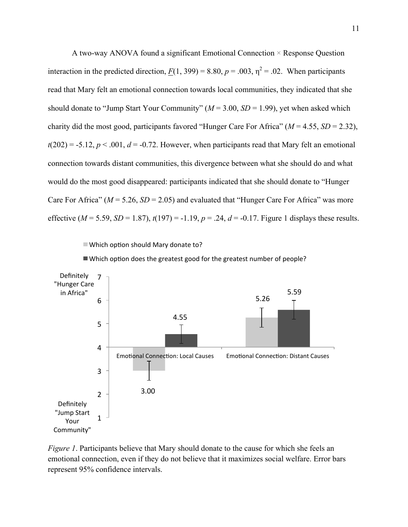A two-way ANOVA found a significant Emotional Connection × Response Question interaction in the predicted direction,  $F(1, 399) = 8.80$ ,  $p = .003$ ,  $\eta^2 = .02$ . When participants read that Mary felt an emotional connection towards local communities, they indicated that she should donate to "Jump Start Your Community" (*M* = 3.00, *SD* = 1.99), yet when asked which charity did the most good, participants favored "Hunger Care For Africa"  $(M = 4.55, SD = 2.32)$ ,  $t(202) = -5.12$ ,  $p < .001$ ,  $d = -0.72$ . However, when participants read that Mary felt an emotional connection towards distant communities, this divergence between what she should do and what would do the most good disappeared: participants indicated that she should donate to "Hunger Care For Africa" ( $M = 5.26$ ,  $SD = 2.05$ ) and evaluated that "Hunger Care For Africa" was more effective ( $M = 5.59$ ,  $SD = 1.87$ ),  $t(197) = -1.19$ ,  $p = .24$ ,  $d = -0.17$ . Figure 1 displays these results.

 $\blacksquare$  Which option should Mary donate to?





*Figure 1*. Participants believe that Mary should donate to the cause for which she feels an emotional connection, even if they do not believe that it maximizes social welfare. Error bars represent 95% confidence intervals.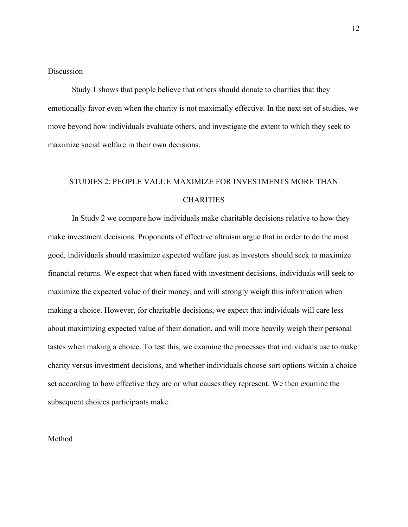### **Discussion**

Study 1 shows that people believe that others should donate to charities that they emotionally favor even when the charity is not maximally effective. In the next set of studies, we move beyond how individuals evaluate others, and investigate the extent to which they seek to maximize social welfare in their own decisions.

# STUDIES 2: PEOPLE VALUE MAXIMIZE FOR INVESTMENTS MORE THAN **CHARITIES**

In Study 2 we compare how individuals make charitable decisions relative to how they make investment decisions. Proponents of effective altruism argue that in order to do the most good, individuals should maximize expected welfare just as investors should seek to maximize financial returns. We expect that when faced with investment decisions, individuals will seek to maximize the expected value of their money, and will strongly weigh this information when making a choice. However, for charitable decisions, we expect that individuals will care less about maximizing expected value of their donation, and will more heavily weigh their personal tastes when making a choice. To test this, we examine the processes that individuals use to make charity versus investment decisions, and whether individuals choose sort options within a choice set according to how effective they are or what causes they represent. We then examine the subsequent choices participants make.

#### Method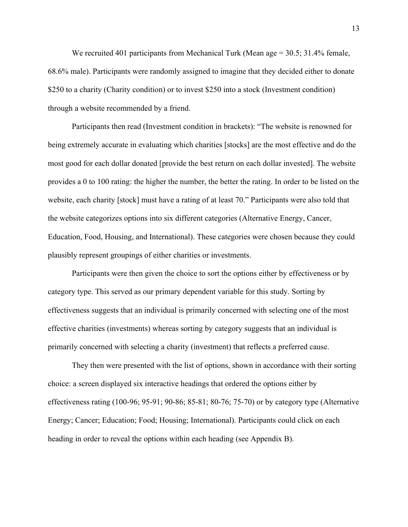We recruited 401 participants from Mechanical Turk (Mean age = 30.5; 31.4% female, 68.6% male). Participants were randomly assigned to imagine that they decided either to donate \$250 to a charity (Charity condition) or to invest \$250 into a stock (Investment condition) through a website recommended by a friend.

Participants then read (Investment condition in brackets): "The website is renowned for being extremely accurate in evaluating which charities [stocks] are the most effective and do the most good for each dollar donated [provide the best return on each dollar invested]. The website provides a 0 to 100 rating: the higher the number, the better the rating. In order to be listed on the website, each charity [stock] must have a rating of at least 70." Participants were also told that the website categorizes options into six different categories (Alternative Energy, Cancer, Education, Food, Housing, and International). These categories were chosen because they could plausibly represent groupings of either charities or investments.

Participants were then given the choice to sort the options either by effectiveness or by category type. This served as our primary dependent variable for this study. Sorting by effectiveness suggests that an individual is primarily concerned with selecting one of the most effective charities (investments) whereas sorting by category suggests that an individual is primarily concerned with selecting a charity (investment) that reflects a preferred cause.

They then were presented with the list of options, shown in accordance with their sorting choice: a screen displayed six interactive headings that ordered the options either by effectiveness rating (100-96; 95-91; 90-86; 85-81; 80-76; 75-70) or by category type (Alternative Energy; Cancer; Education; Food; Housing; International). Participants could click on each heading in order to reveal the options within each heading (see Appendix B).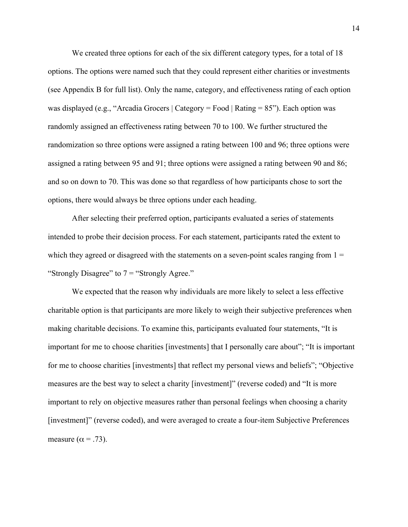We created three options for each of the six different category types, for a total of 18 options. The options were named such that they could represent either charities or investments (see Appendix B for full list). Only the name, category, and effectiveness rating of each option was displayed (e.g., "Arcadia Grocers | Category = Food | Rating = 85"). Each option was randomly assigned an effectiveness rating between 70 to 100. We further structured the randomization so three options were assigned a rating between 100 and 96; three options were assigned a rating between 95 and 91; three options were assigned a rating between 90 and 86; and so on down to 70. This was done so that regardless of how participants chose to sort the options, there would always be three options under each heading.

After selecting their preferred option, participants evaluated a series of statements intended to probe their decision process. For each statement, participants rated the extent to which they agreed or disagreed with the statements on a seven-point scales ranging from  $1 =$ "Strongly Disagree" to  $7 =$  "Strongly Agree."

We expected that the reason why individuals are more likely to select a less effective charitable option is that participants are more likely to weigh their subjective preferences when making charitable decisions. To examine this, participants evaluated four statements, "It is important for me to choose charities [investments] that I personally care about"; "It is important for me to choose charities [investments] that reflect my personal views and beliefs"; "Objective measures are the best way to select a charity [investment]" (reverse coded) and "It is more important to rely on objective measures rather than personal feelings when choosing a charity [investment]" (reverse coded), and were averaged to create a four-item Subjective Preferences measure ( $\alpha$  = .73).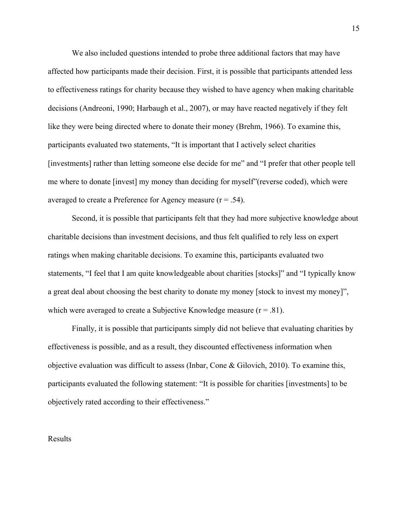We also included questions intended to probe three additional factors that may have affected how participants made their decision. First, it is possible that participants attended less to effectiveness ratings for charity because they wished to have agency when making charitable decisions (Andreoni, 1990; Harbaugh et al., 2007), or may have reacted negatively if they felt like they were being directed where to donate their money (Brehm, 1966). To examine this, participants evaluated two statements, "It is important that I actively select charities [investments] rather than letting someone else decide for me" and "I prefer that other people tell me where to donate [invest] my money than deciding for myself"(reverse coded), which were averaged to create a Preference for Agency measure  $(r = .54)$ .

Second, it is possible that participants felt that they had more subjective knowledge about charitable decisions than investment decisions, and thus felt qualified to rely less on expert ratings when making charitable decisions. To examine this, participants evaluated two statements, "I feel that I am quite knowledgeable about charities [stocks]" and "I typically know a great deal about choosing the best charity to donate my money [stock to invest my money]", which were averaged to create a Subjective Knowledge measure  $(r = .81)$ .

Finally, it is possible that participants simply did not believe that evaluating charities by effectiveness is possible, and as a result, they discounted effectiveness information when objective evaluation was difficult to assess (Inbar, Cone & Gilovich, 2010). To examine this, participants evaluated the following statement: "It is possible for charities [investments] to be objectively rated according to their effectiveness."

#### Results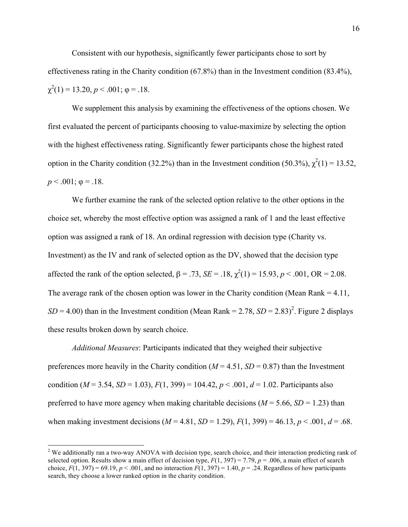Consistent with our hypothesis, significantly fewer participants chose to sort by effectiveness rating in the Charity condition (67.8%) than in the Investment condition (83.4%),  $\chi^2(1) = 13.20, p < .001; \varphi = .18.$ 

We supplement this analysis by examining the effectiveness of the options chosen. We first evaluated the percent of participants choosing to value-maximize by selecting the option with the highest effectiveness rating. Significantly fewer participants chose the highest rated option in the Charity condition (32.2%) than in the Investment condition (50.3%),  $\chi^2(1) = 13.52$ ,  $p < .001$ ;  $\varphi = .18$ .

We further examine the rank of the selected option relative to the other options in the choice set, whereby the most effective option was assigned a rank of 1 and the least effective option was assigned a rank of 18. An ordinal regression with decision type (Charity vs. Investment) as the IV and rank of selected option as the DV, showed that the decision type affected the rank of the option selected,  $\beta = .73$ ,  $SE = .18$ ,  $\chi^2(1) = 15.93$ ,  $p < .001$ , OR = 2.08. The average rank of the chosen option was lower in the Charity condition (Mean Rank  $= 4.11$ ,  $SD = 4.00$ ) than in the Investment condition (Mean Rank = 2.78,  $SD = 2.83$ )<sup>2</sup>. Figure 2 displays these results broken down by search choice.

*Additional Measures*: Participants indicated that they weighed their subjective preferences more heavily in the Charity condition ( $M = 4.51$ ,  $SD = 0.87$ ) than the Investment condition ( $M = 3.54$ ,  $SD = 1.03$ ),  $F(1, 399) = 104.42$ ,  $p < .001$ ,  $d = 1.02$ . Participants also preferred to have more agency when making charitable decisions ( $M = 5.66$ ,  $SD = 1.23$ ) than when making investment decisions  $(M = 4.81, SD = 1.29)$ ,  $F(1, 399) = 46.13$ ,  $p < .001$ ,  $d = .68$ .

<sup>&</sup>lt;sup>2</sup> We additionally ran a two-way ANOVA with decision type, search choice, and their interaction predicting rank of selected option. Results show a main effect of decision type,  $F(1, 397) = 7.79$ ,  $p = .006$ , a main effect of search choice,  $F(1, 397) = 69.19$ ,  $p < .001$ , and no interaction  $F(1, 397) = 1.40$ ,  $p = .24$ . Regardless of how participants search, they choose a lower ranked option in the charity condition.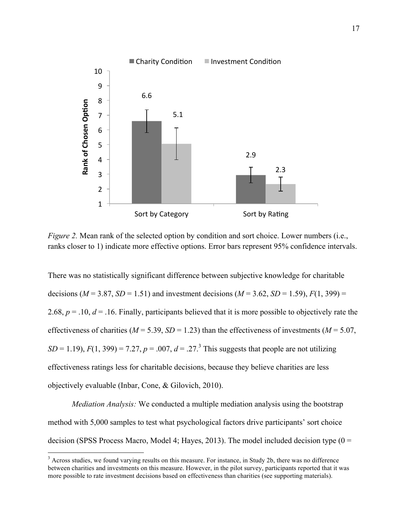

*Figure 2.* Mean rank of the selected option by condition and sort choice. Lower numbers (i.e., ranks closer to 1) indicate more effective options. Error bars represent 95% confidence intervals.

There was no statistically significant difference between subjective knowledge for charitable decisions ( $M = 3.87$ ,  $SD = 1.51$ ) and investment decisions ( $M = 3.62$ ,  $SD = 1.59$ ),  $F(1, 399) =$ 2.68,  $p = 0.10$ ,  $d = 0.16$ . Finally, participants believed that it is more possible to objectively rate the effectiveness of charities ( $M = 5.39$ ,  $SD = 1.23$ ) than the effectiveness of investments ( $M = 5.07$ ,  $SD = 1.19$ ,  $F(1, 399) = 7.27$ ,  $p = .007$ ,  $d = .27$ .<sup>3</sup> This suggests that people are not utilizing effectiveness ratings less for charitable decisions, because they believe charities are less objectively evaluable (Inbar, Cone, & Gilovich, 2010).

*Mediation Analysis:* We conducted a multiple mediation analysis using the bootstrap method with 5,000 samples to test what psychological factors drive participants' sort choice decision (SPSS Process Macro, Model 4; Hayes, 2013). The model included decision type ( $0 =$ 

<sup>&</sup>lt;sup>3</sup> Across studies, we found varying results on this measure. For instance, in Study 2b, there was no difference between charities and investments on this measure. However, in the pilot survey, participants reported that it was more possible to rate investment decisions based on effectiveness than charities (see supporting materials).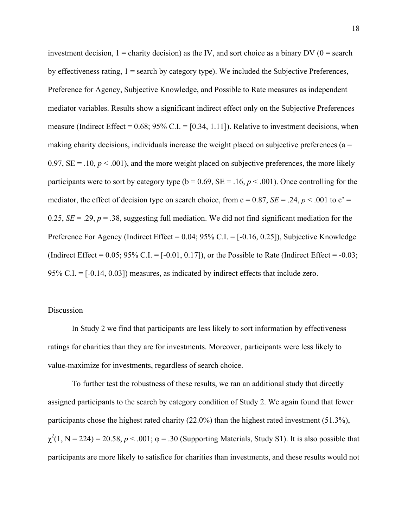investment decision,  $1 =$  charity decision) as the IV, and sort choice as a binary DV ( $0 =$  search by effectiveness rating,  $1 =$  search by category type). We included the Subjective Preferences, Preference for Agency, Subjective Knowledge, and Possible to Rate measures as independent mediator variables. Results show a significant indirect effect only on the Subjective Preferences measure (Indirect Effect =  $0.68$ ;  $95\%$  C.I. = [0.34, 1.11]). Relative to investment decisions, when making charity decisions, individuals increase the weight placed on subjective preferences ( $a =$ 0.97,  $SE = .10$ ,  $p < .001$ ), and the more weight placed on subjective preferences, the more likely participants were to sort by category type ( $b = 0.69$ ,  $SE = .16$ ,  $p < .001$ ). Once controlling for the mediator, the effect of decision type on search choice, from  $c = 0.87$ ,  $SE = .24$ ,  $p < .001$  to  $c' =$ 0.25,  $SE = 0.29$ ,  $p = 0.38$ , suggesting full mediation. We did not find significant mediation for the Preference For Agency (Indirect Effect =  $0.04$ ;  $95\%$  C.I. =  $[-0.16, 0.25]$ ), Subjective Knowledge (Indirect Effect =  $0.05$ ; 95% C.I. =  $[-0.01, 0.17]$ ), or the Possible to Rate (Indirect Effect =  $-0.03$ ; 95% C.I. = [-0.14, 0.03]) measures, as indicated by indirect effects that include zero.

### Discussion

In Study 2 we find that participants are less likely to sort information by effectiveness ratings for charities than they are for investments. Moreover, participants were less likely to value-maximize for investments, regardless of search choice.

To further test the robustness of these results, we ran an additional study that directly assigned participants to the search by category condition of Study 2. We again found that fewer participants chose the highest rated charity (22.0%) than the highest rated investment (51.3%),  $\chi^2(1, N = 224) = 20.58$ ,  $p < .001$ ;  $\varphi = .30$  (Supporting Materials, Study S1). It is also possible that participants are more likely to satisfice for charities than investments, and these results would not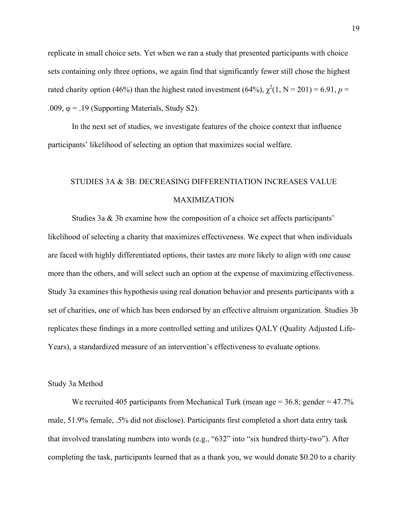replicate in small choice sets. Yet when we ran a study that presented participants with choice sets containing only three options, we again find that significantly fewer still chose the highest rated charity option (46%) than the highest rated investment (64%),  $\chi^2(1, N = 201) = 6.91$ ,  $p =$ .009,  $\varphi$  = .19 (Supporting Materials, Study S2).

In the next set of studies, we investigate features of the choice context that influence participants' likelihood of selecting an option that maximizes social welfare.

# STUDIES 3A & 3B: DECREASING DIFFERENTIATION INCREASES VALUE MAXIMIZATION

Studies 3a & 3b examine how the composition of a choice set affects participants' likelihood of selecting a charity that maximizes effectiveness. We expect that when individuals are faced with highly differentiated options, their tastes are more likely to align with one cause more than the others, and will select such an option at the expense of maximizing effectiveness. Study 3a examines this hypothesis using real donation behavior and presents participants with a set of charities, one of which has been endorsed by an effective altruism organization. Studies 3b replicates these findings in a more controlled setting and utilizes QALY (Quality Adjusted Life-Years), a standardized measure of an intervention's effectiveness to evaluate options.

#### Study 3a Method

We recruited 405 participants from Mechanical Turk (mean age  $= 36.8$ ; gender  $= 47.7\%$ male, 51.9% female, .5% did not disclose). Participants first completed a short data entry task that involved translating numbers into words (e.g., "632" into "six hundred thirty-two"). After completing the task, participants learned that as a thank you, we would donate \$0.20 to a charity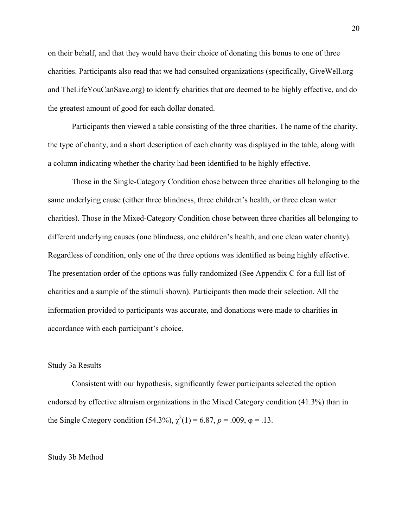on their behalf, and that they would have their choice of donating this bonus to one of three charities. Participants also read that we had consulted organizations (specifically, GiveWell.org and TheLifeYouCanSave.org) to identify charities that are deemed to be highly effective, and do the greatest amount of good for each dollar donated.

Participants then viewed a table consisting of the three charities. The name of the charity, the type of charity, and a short description of each charity was displayed in the table, along with a column indicating whether the charity had been identified to be highly effective.

Those in the Single-Category Condition chose between three charities all belonging to the same underlying cause (either three blindness, three children's health, or three clean water charities). Those in the Mixed-Category Condition chose between three charities all belonging to different underlying causes (one blindness, one children's health, and one clean water charity). Regardless of condition, only one of the three options was identified as being highly effective. The presentation order of the options was fully randomized (See Appendix C for a full list of charities and a sample of the stimuli shown). Participants then made their selection. All the information provided to participants was accurate, and donations were made to charities in accordance with each participant's choice.

#### Study 3a Results

Consistent with our hypothesis, significantly fewer participants selected the option endorsed by effective altruism organizations in the Mixed Category condition (41.3%) than in the Single Category condition (54.3%),  $\chi^2(1) = 6.87$ ,  $p = .009$ ,  $\varphi = .13$ .

#### Study 3b Method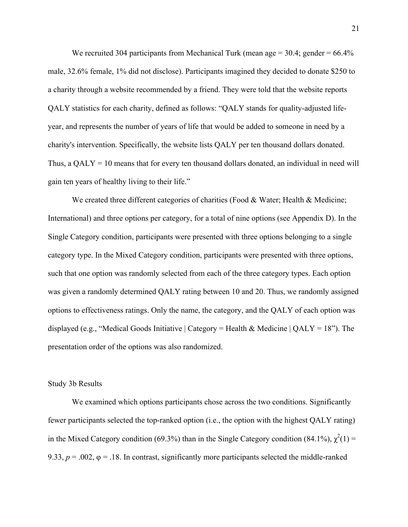We recruited 304 participants from Mechanical Turk (mean age  $= 30.4$ ; gender  $= 66.4\%$ ) male, 32.6% female, 1% did not disclose). Participants imagined they decided to donate \$250 to a charity through a website recommended by a friend. They were told that the website reports QALY statistics for each charity, defined as follows: "QALY stands for quality-adjusted lifeyear, and represents the number of years of life that would be added to someone in need by a charity's intervention. Specifically, the website lists QALY per ten thousand dollars donated. Thus, a  $QALY = 10$  means that for every ten thousand dollars donated, an individual in need will gain ten years of healthy living to their life."

We created three different categories of charities (Food & Water; Health & Medicine; International) and three options per category, for a total of nine options (see Appendix D). In the Single Category condition, participants were presented with three options belonging to a single category type. In the Mixed Category condition, participants were presented with three options, such that one option was randomly selected from each of the three category types. Each option was given a randomly determined QALY rating between 10 and 20. Thus, we randomly assigned options to effectiveness ratings. Only the name, the category, and the QALY of each option was displayed (e.g., "Medical Goods Initiative | Category = Health & Medicine | QALY = 18"). The presentation order of the options was also randomized.

#### Study 3b Results

We examined which options participants chose across the two conditions. Significantly fewer participants selected the top-ranked option (i.e., the option with the highest QALY rating) in the Mixed Category condition (69.3%) than in the Single Category condition (84.1%),  $\chi^2(1)$  = 9.33,  $p = .002$ ,  $\varphi = .18$ . In contrast, significantly more participants selected the middle-ranked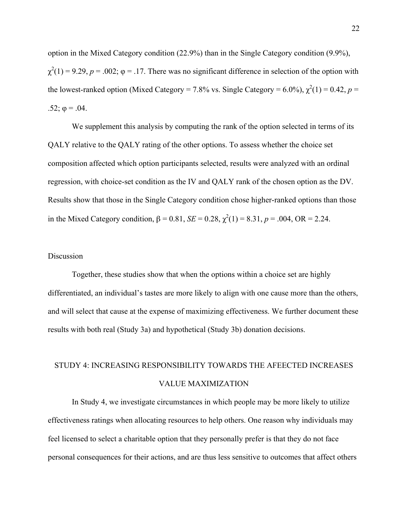option in the Mixed Category condition (22.9%) than in the Single Category condition (9.9%),  $\chi^2(1) = 9.29$ ,  $p = .002$ ;  $\varphi = .17$ . There was no significant difference in selection of the option with the lowest-ranked option (Mixed Category = 7.8% vs. Single Category = 6.0%),  $\chi^2(1) = 0.42$ ,  $p =$ .52;  $φ = .04$ .

We supplement this analysis by computing the rank of the option selected in terms of its QALY relative to the QALY rating of the other options. To assess whether the choice set composition affected which option participants selected, results were analyzed with an ordinal regression, with choice-set condition as the IV and QALY rank of the chosen option as the DV. Results show that those in the Single Category condition chose higher-ranked options than those in the Mixed Category condition,  $β = 0.81$ ,  $SE = 0.28$ ,  $χ<sup>2</sup>(1) = 8.31$ ,  $p = .004$ , OR = 2.24.

### Discussion

Together, these studies show that when the options within a choice set are highly differentiated, an individual's tastes are more likely to align with one cause more than the others, and will select that cause at the expense of maximizing effectiveness. We further document these results with both real (Study 3a) and hypothetical (Study 3b) donation decisions.

# STUDY 4: INCREASING RESPONSIBILITY TOWARDS THE AFEECTED INCREASES VALUE MAXIMIZATION

In Study 4, we investigate circumstances in which people may be more likely to utilize effectiveness ratings when allocating resources to help others. One reason why individuals may feel licensed to select a charitable option that they personally prefer is that they do not face personal consequences for their actions, and are thus less sensitive to outcomes that affect others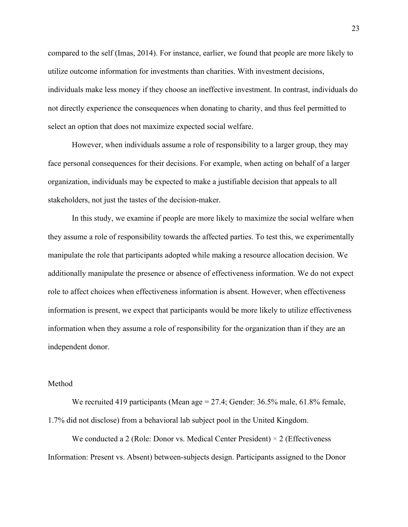compared to the self (Imas, 2014). For instance, earlier, we found that people are more likely to utilize outcome information for investments than charities. With investment decisions, individuals make less money if they choose an ineffective investment. In contrast, individuals do not directly experience the consequences when donating to charity, and thus feel permitted to select an option that does not maximize expected social welfare.

However, when individuals assume a role of responsibility to a larger group, they may face personal consequences for their decisions. For example, when acting on behalf of a larger organization, individuals may be expected to make a justifiable decision that appeals to all stakeholders, not just the tastes of the decision-maker.

In this study, we examine if people are more likely to maximize the social welfare when they assume a role of responsibility towards the affected parties. To test this, we experimentally manipulate the role that participants adopted while making a resource allocation decision. We additionally manipulate the presence or absence of effectiveness information. We do not expect role to affect choices when effectiveness information is absent. However, when effectiveness information is present, we expect that participants would be more likely to utilize effectiveness information when they assume a role of responsibility for the organization than if they are an independent donor.

#### Method

We recruited 419 participants (Mean age  $= 27.4$ ; Gender: 36.5% male, 61.8% female, 1.7% did not disclose) from a behavioral lab subject pool in the United Kingdom.

We conducted a 2 (Role: Donor vs. Medical Center President)  $\times$  2 (Effectiveness Information: Present vs. Absent) between-subjects design. Participants assigned to the Donor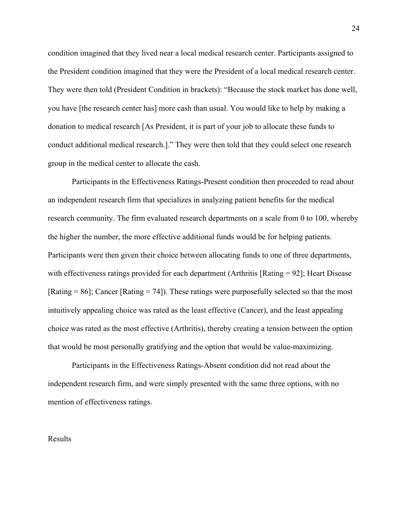condition imagined that they lived near a local medical research center. Participants assigned to the President condition imagined that they were the President of a local medical research center. They were then told (President Condition in brackets): "Because the stock market has done well, you have [the research center has] more cash than usual. You would like to help by making a donation to medical research [As President, it is part of your job to allocate these funds to conduct additional medical research.]." They were then told that they could select one research group in the medical center to allocate the cash.

Participants in the Effectiveness Ratings-Present condition then proceeded to read about an independent research firm that specializes in analyzing patient benefits for the medical research community. The firm evaluated research departments on a scale from 0 to 100, whereby the higher the number, the more effective additional funds would be for helping patients. Participants were then given their choice between allocating funds to one of three departments, with effectiveness ratings provided for each department (Arthritis [Rating = 92]; Heart Disease  $[Rating = 86]$ ; Cancer  $[Rating = 74]$ ). These ratings were purposefully selected so that the most intuitively appealing choice was rated as the least effective (Cancer), and the least appealing choice was rated as the most effective (Arthritis), thereby creating a tension between the option that would be most personally gratifying and the option that would be value-maximizing.

Participants in the Effectiveness Ratings-Absent condition did not read about the independent research firm, and were simply presented with the same three options, with no mention of effectiveness ratings.

Results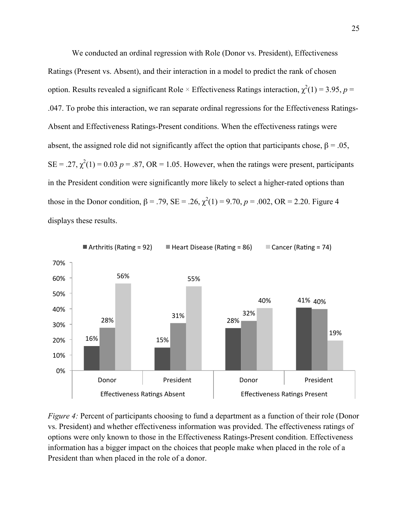We conducted an ordinal regression with Role (Donor vs. President), Effectiveness Ratings (Present vs. Absent), and their interaction in a model to predict the rank of chosen option. Results revealed a significant Role  $\times$  Effectiveness Ratings interaction,  $\chi^2(1) = 3.95$ ,  $p =$ .047. To probe this interaction, we ran separate ordinal regressions for the Effectiveness Ratings-Absent and Effectiveness Ratings-Present conditions. When the effectiveness ratings were absent, the assigned role did not significantly affect the option that participants chose,  $\beta = .05$ ,  $SE = .27$ ,  $\chi^2(1) = 0.03$   $p = .87$ ,  $OR = 1.05$ . However, when the ratings were present, participants in the President condition were significantly more likely to select a higher-rated options than those in the Donor condition,  $β = .79$ ,  $SE = .26$ ,  $χ<sup>2</sup>(1) = 9.70$ ,  $p = .002$ ,  $OR = 2.20$ . Figure 4 displays these results.



*Figure 4:* Percent of participants choosing to fund a department as a function of their role (Donor vs. President) and whether effectiveness information was provided. The effectiveness ratings of options were only known to those in the Effectiveness Ratings-Present condition. Effectiveness information has a bigger impact on the choices that people make when placed in the role of a President than when placed in the role of a donor.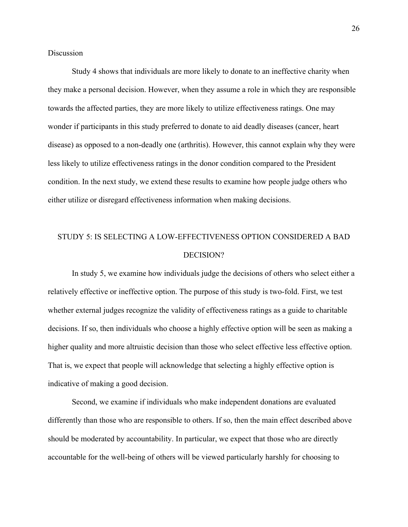**Discussion** 

Study 4 shows that individuals are more likely to donate to an ineffective charity when they make a personal decision. However, when they assume a role in which they are responsible towards the affected parties, they are more likely to utilize effectiveness ratings. One may wonder if participants in this study preferred to donate to aid deadly diseases (cancer, heart disease) as opposed to a non-deadly one (arthritis). However, this cannot explain why they were less likely to utilize effectiveness ratings in the donor condition compared to the President condition. In the next study, we extend these results to examine how people judge others who either utilize or disregard effectiveness information when making decisions.

# STUDY 5: IS SELECTING A LOW-EFFECTIVENESS OPTION CONSIDERED A BAD DECISION?

In study 5, we examine how individuals judge the decisions of others who select either a relatively effective or ineffective option. The purpose of this study is two-fold. First, we test whether external judges recognize the validity of effectiveness ratings as a guide to charitable decisions. If so, then individuals who choose a highly effective option will be seen as making a higher quality and more altruistic decision than those who select effective less effective option. That is, we expect that people will acknowledge that selecting a highly effective option is indicative of making a good decision.

Second, we examine if individuals who make independent donations are evaluated differently than those who are responsible to others. If so, then the main effect described above should be moderated by accountability. In particular, we expect that those who are directly accountable for the well-being of others will be viewed particularly harshly for choosing to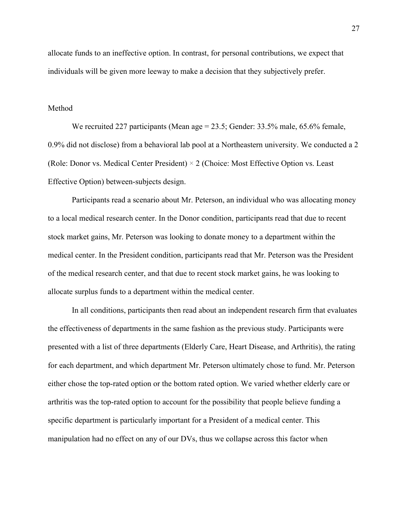allocate funds to an ineffective option. In contrast, for personal contributions, we expect that individuals will be given more leeway to make a decision that they subjectively prefer.

#### Method

We recruited 227 participants (Mean age  $= 23.5$ ; Gender: 33.5% male, 65.6% female, 0.9% did not disclose) from a behavioral lab pool at a Northeastern university. We conducted a 2 (Role: Donor vs. Medical Center President)  $\times$  2 (Choice: Most Effective Option vs. Least Effective Option) between-subjects design.

Participants read a scenario about Mr. Peterson, an individual who was allocating money to a local medical research center. In the Donor condition, participants read that due to recent stock market gains, Mr. Peterson was looking to donate money to a department within the medical center. In the President condition, participants read that Mr. Peterson was the President of the medical research center, and that due to recent stock market gains, he was looking to allocate surplus funds to a department within the medical center.

In all conditions, participants then read about an independent research firm that evaluates the effectiveness of departments in the same fashion as the previous study. Participants were presented with a list of three departments (Elderly Care, Heart Disease, and Arthritis), the rating for each department, and which department Mr. Peterson ultimately chose to fund. Mr. Peterson either chose the top-rated option or the bottom rated option. We varied whether elderly care or arthritis was the top-rated option to account for the possibility that people believe funding a specific department is particularly important for a President of a medical center. This manipulation had no effect on any of our DVs, thus we collapse across this factor when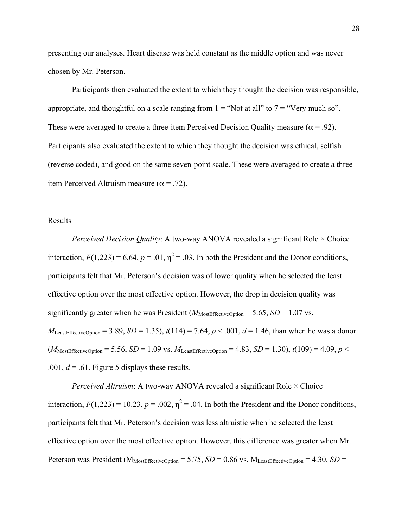presenting our analyses. Heart disease was held constant as the middle option and was never chosen by Mr. Peterson.

Participants then evaluated the extent to which they thought the decision was responsible, appropriate, and thoughtful on a scale ranging from  $1 =$  "Not at all" to  $7 =$  "Very much so". These were averaged to create a three-item Perceived Decision Quality measure ( $\alpha$  = .92). Participants also evaluated the extent to which they thought the decision was ethical, selfish (reverse coded), and good on the same seven-point scale. These were averaged to create a threeitem Perceived Altruism measure ( $\alpha$  = .72).

### Results

*Perceived Decision Quality*: A two-way ANOVA revealed a significant Role  $\times$  Choice interaction,  $F(1,223) = 6.64$ ,  $p = .01$ ,  $\eta^2 = .03$ . In both the President and the Donor conditions, participants felt that Mr. Peterson's decision was of lower quality when he selected the least effective option over the most effective option. However, the drop in decision quality was significantly greater when he was President  $(M_{\text{MostEffectiveOption}} = 5.65, SD = 1.07 \text{ vs.})$ *M*<sub>LeastEffectiveOption</sub> = 3.89, *SD* = 1.35),  $t(114) = 7.64$ ,  $p < .001$ ,  $d = 1.46$ , than when he was a donor  $(M_{\text{MostEffectiveOption}} = 5.56, SD = 1.09 \text{ vs. } M_{\text{LeastEffectiveOption}} = 4.83, SD = 1.30), t(109) = 4.09, p <$ .001,  $d = .61$ . Figure 5 displays these results.

*Perceived Altruism*: A two-way ANOVA revealed a significant Role  $\times$  Choice interaction,  $F(1,223) = 10.23$ ,  $p = .002$ ,  $\eta^2 = .04$ . In both the President and the Donor conditions, participants felt that Mr. Peterson's decision was less altruistic when he selected the least effective option over the most effective option. However, this difference was greater when Mr. Peterson was President ( $M_{MostEffectiveOption} = 5.75$ ,  $SD = 0.86$  vs.  $M_{LeastEffectiveOption} = 4.30$ ,  $SD =$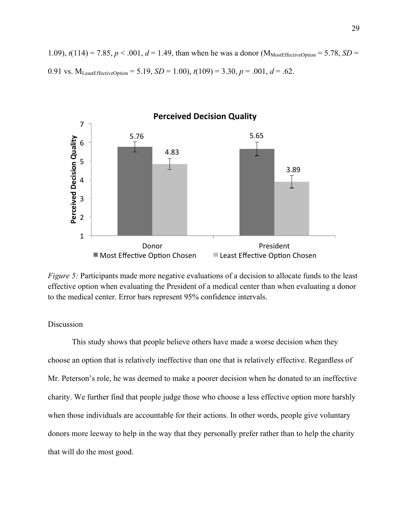1.09),  $t(114) = 7.85$ ,  $p < .001$ ,  $d = 1.49$ , than when he was a donor (M<sub>MostEffectiveOption</sub> = 5.78, *SD* = 0.91 vs.  $M_{Least EffectiveOption} = 5.19$ ,  $SD = 1.00$ ),  $t(109) = 3.30$ ,  $p = .001$ ,  $d = .62$ .



*Figure 5:* Participants made more negative evaluations of a decision to allocate funds to the least effective option when evaluating the President of a medical center than when evaluating a donor to the medical center. Error bars represent 95% confidence intervals.

## Discussion

This study shows that people believe others have made a worse decision when they choose an option that is relatively ineffective than one that is relatively effective. Regardless of Mr. Peterson's role, he was deemed to make a poorer decision when he donated to an ineffective charity. We further find that people judge those who choose a less effective option more harshly when those individuals are accountable for their actions. In other words, people give voluntary donors more leeway to help in the way that they personally prefer rather than to help the charity that will do the most good.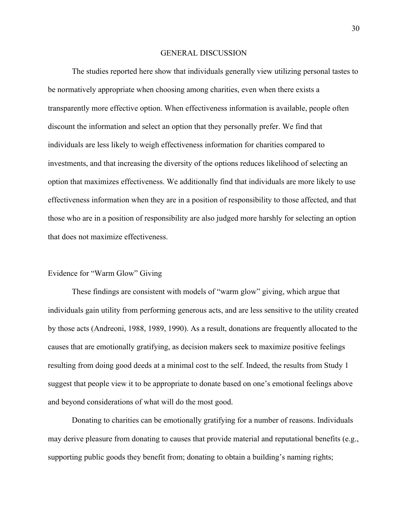#### GENERAL DISCUSSION

The studies reported here show that individuals generally view utilizing personal tastes to be normatively appropriate when choosing among charities, even when there exists a transparently more effective option. When effectiveness information is available, people often discount the information and select an option that they personally prefer. We find that individuals are less likely to weigh effectiveness information for charities compared to investments, and that increasing the diversity of the options reduces likelihood of selecting an option that maximizes effectiveness. We additionally find that individuals are more likely to use effectiveness information when they are in a position of responsibility to those affected, and that those who are in a position of responsibility are also judged more harshly for selecting an option that does not maximize effectiveness.

#### Evidence for "Warm Glow" Giving

These findings are consistent with models of "warm glow" giving, which argue that individuals gain utility from performing generous acts, and are less sensitive to the utility created by those acts (Andreoni, 1988, 1989, 1990). As a result, donations are frequently allocated to the causes that are emotionally gratifying, as decision makers seek to maximize positive feelings resulting from doing good deeds at a minimal cost to the self. Indeed, the results from Study 1 suggest that people view it to be appropriate to donate based on one's emotional feelings above and beyond considerations of what will do the most good.

Donating to charities can be emotionally gratifying for a number of reasons. Individuals may derive pleasure from donating to causes that provide material and reputational benefits (e.g., supporting public goods they benefit from; donating to obtain a building's naming rights;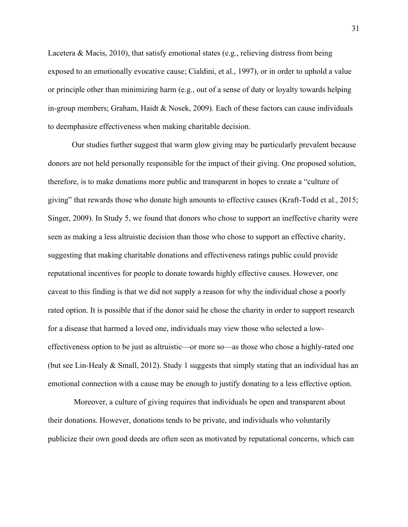Lacetera & Macis, 2010), that satisfy emotional states (e.g., relieving distress from being exposed to an emotionally evocative cause; Cialdini, et al., 1997), or in order to uphold a value or principle other than minimizing harm (e.g., out of a sense of duty or loyalty towards helping in-group members; Graham, Haidt  $\&$  Nosek, 2009). Each of these factors can cause individuals to deemphasize effectiveness when making charitable decision.

Our studies further suggest that warm glow giving may be particularly prevalent because donors are not held personally responsible for the impact of their giving. One proposed solution, therefore, is to make donations more public and transparent in hopes to create a "culture of giving" that rewards those who donate high amounts to effective causes (Kraft-Todd et al., 2015; Singer, 2009). In Study 5, we found that donors who chose to support an ineffective charity were seen as making a less altruistic decision than those who chose to support an effective charity, suggesting that making charitable donations and effectiveness ratings public could provide reputational incentives for people to donate towards highly effective causes. However, one caveat to this finding is that we did not supply a reason for why the individual chose a poorly rated option. It is possible that if the donor said he chose the charity in order to support research for a disease that harmed a loved one, individuals may view those who selected a loweffectiveness option to be just as altruistic—or more so—as those who chose a highly-rated one (but see Lin-Healy & Small, 2012). Study 1 suggests that simply stating that an individual has an emotional connection with a cause may be enough to justify donating to a less effective option.

Moreover, a culture of giving requires that individuals be open and transparent about their donations. However, donations tends to be private, and individuals who voluntarily publicize their own good deeds are often seen as motivated by reputational concerns, which can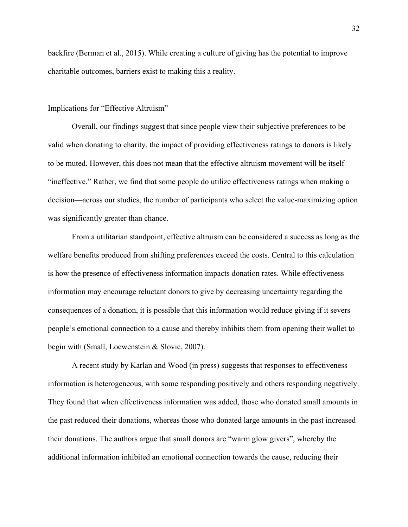backfire (Berman et al., 2015). While creating a culture of giving has the potential to improve charitable outcomes, barriers exist to making this a reality.

#### Implications for "Effective Altruism"

Overall, our findings suggest that since people view their subjective preferences to be valid when donating to charity, the impact of providing effectiveness ratings to donors is likely to be muted. However, this does not mean that the effective altruism movement will be itself "ineffective." Rather, we find that some people do utilize effectiveness ratings when making a decision—across our studies, the number of participants who select the value-maximizing option was significantly greater than chance.

From a utilitarian standpoint, effective altruism can be considered a success as long as the welfare benefits produced from shifting preferences exceed the costs. Central to this calculation is how the presence of effectiveness information impacts donation rates. While effectiveness information may encourage reluctant donors to give by decreasing uncertainty regarding the consequences of a donation, it is possible that this information would reduce giving if it severs people's emotional connection to a cause and thereby inhibits them from opening their wallet to begin with (Small, Loewenstein & Slovic, 2007).

A recent study by Karlan and Wood (in press) suggests that responses to effectiveness information is heterogeneous, with some responding positively and others responding negatively. They found that when effectiveness information was added, those who donated small amounts in the past reduced their donations, whereas those who donated large amounts in the past increased their donations. The authors argue that small donors are "warm glow givers", whereby the additional information inhibited an emotional connection towards the cause, reducing their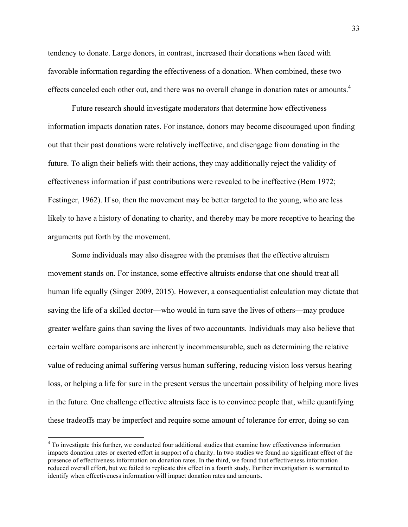tendency to donate. Large donors, in contrast, increased their donations when faced with favorable information regarding the effectiveness of a donation. When combined, these two effects canceled each other out, and there was no overall change in donation rates or amounts.<sup>4</sup>

Future research should investigate moderators that determine how effectiveness information impacts donation rates. For instance, donors may become discouraged upon finding out that their past donations were relatively ineffective, and disengage from donating in the future. To align their beliefs with their actions, they may additionally reject the validity of effectiveness information if past contributions were revealed to be ineffective (Bem 1972; Festinger, 1962). If so, then the movement may be better targeted to the young, who are less likely to have a history of donating to charity, and thereby may be more receptive to hearing the arguments put forth by the movement.

Some individuals may also disagree with the premises that the effective altruism movement stands on. For instance, some effective altruists endorse that one should treat all human life equally (Singer 2009, 2015). However, a consequentialist calculation may dictate that saving the life of a skilled doctor—who would in turn save the lives of others—may produce greater welfare gains than saving the lives of two accountants. Individuals may also believe that certain welfare comparisons are inherently incommensurable, such as determining the relative value of reducing animal suffering versus human suffering, reducing vision loss versus hearing loss, or helping a life for sure in the present versus the uncertain possibility of helping more lives in the future. One challenge effective altruists face is to convince people that, while quantifying these tradeoffs may be imperfect and require some amount of tolerance for error, doing so can

<sup>&</sup>lt;sup>4</sup> To investigate this further, we conducted four additional studies that examine how effectiveness information impacts donation rates or exerted effort in support of a charity. In two studies we found no significant effect of the presence of effectiveness information on donation rates. In the third, we found that effectiveness information reduced overall effort, but we failed to replicate this effect in a fourth study. Further investigation is warranted to identify when effectiveness information will impact donation rates and amounts.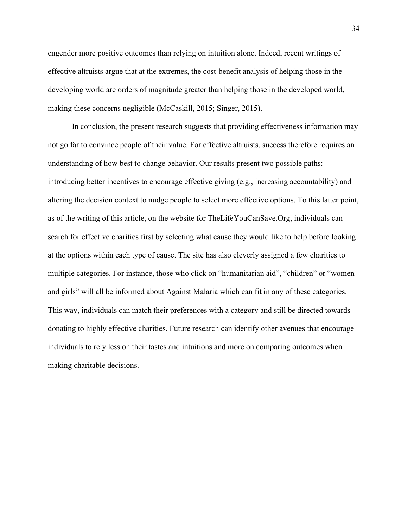engender more positive outcomes than relying on intuition alone. Indeed, recent writings of effective altruists argue that at the extremes, the cost-benefit analysis of helping those in the developing world are orders of magnitude greater than helping those in the developed world, making these concerns negligible (McCaskill, 2015; Singer, 2015).

In conclusion, the present research suggests that providing effectiveness information may not go far to convince people of their value. For effective altruists, success therefore requires an understanding of how best to change behavior. Our results present two possible paths: introducing better incentives to encourage effective giving (e.g., increasing accountability) and altering the decision context to nudge people to select more effective options. To this latter point, as of the writing of this article, on the website for TheLifeYouCanSave.Org, individuals can search for effective charities first by selecting what cause they would like to help before looking at the options within each type of cause. The site has also cleverly assigned a few charities to multiple categories. For instance, those who click on "humanitarian aid", "children" or "women and girls" will all be informed about Against Malaria which can fit in any of these categories. This way, individuals can match their preferences with a category and still be directed towards donating to highly effective charities. Future research can identify other avenues that encourage individuals to rely less on their tastes and intuitions and more on comparing outcomes when making charitable decisions.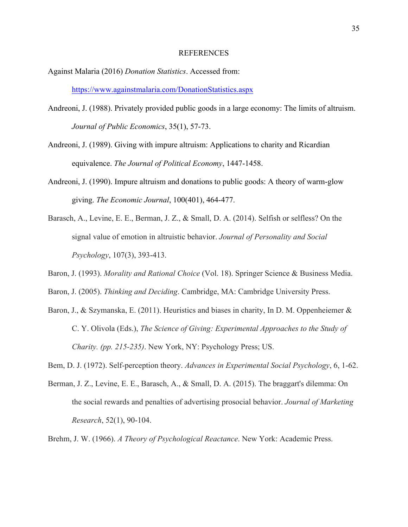#### REFERENCES

- Against Malaria (2016) *Donation Statistics*. Accessed from: https://www.againstmalaria.com/DonationStatistics.aspx
- Andreoni, J. (1988). Privately provided public goods in a large economy: The limits of altruism. *Journal of Public Economics*, 35(1), 57-73.
- Andreoni, J. (1989). Giving with impure altruism: Applications to charity and Ricardian equivalence. *The Journal of Political Economy*, 1447-1458.
- Andreoni, J. (1990). Impure altruism and donations to public goods: A theory of warm-glow giving. *The Economic Journal*, 100(401), 464-477.
- Barasch, A., Levine, E. E., Berman, J. Z., & Small, D. A. (2014). Selfish or selfless? On the signal value of emotion in altruistic behavior. *Journal of Personality and Social Psychology*, 107(3), 393-413.
- Baron, J. (1993). *Morality and Rational Choice* (Vol. 18). Springer Science & Business Media.
- Baron, J. (2005). *Thinking and Deciding*. Cambridge, MA: Cambridge University Press.
- Baron, J., & Szymanska, E. (2011). Heuristics and biases in charity, In D. M. Oppenheiemer & C. Y. Olivola (Eds.), *The Science of Giving: Experimental Approaches to the Study of Charity. (pp. 215-235)*. New York, NY: Psychology Press; US.
- Bem, D. J. (1972). Self-perception theory. *Advances in Experimental Social Psychology*, 6, 1-62.
- Berman, J. Z., Levine, E. E., Barasch, A., & Small, D. A. (2015). The braggart's dilemma: On the social rewards and penalties of advertising prosocial behavior. *Journal of Marketing Research*, 52(1), 90-104.
- Brehm, J. W. (1966). *A Theory of Psychological Reactance*. New York: Academic Press.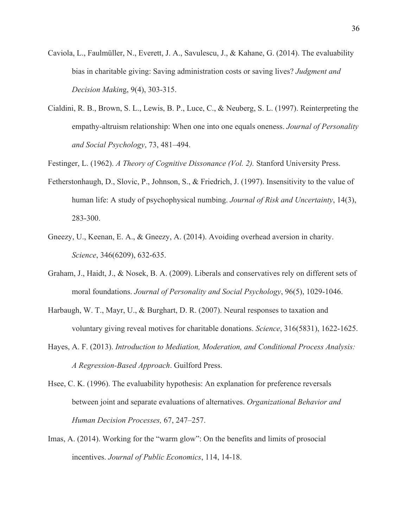- Caviola, L., Faulmüller, N., Everett, J. A., Savulescu, J., & Kahane, G. (2014). The evaluability bias in charitable giving: Saving administration costs or saving lives? *Judgment and Decision Makin*g, 9(4), 303-315.
- Cialdini, R. B., Brown, S. L., Lewis, B. P., Luce, C., & Neuberg, S. L. (1997). Reinterpreting the empathy-altruism relationship: When one into one equals oneness. *Journal of Personality and Social Psychology*, 73, 481–494.

Festinger, L. (1962). *A Theory of Cognitive Dissonance (Vol. 2).* Stanford University Press.

- Fetherstonhaugh, D., Slovic, P., Johnson, S., & Friedrich, J. (1997). Insensitivity to the value of human life: A study of psychophysical numbing. *Journal of Risk and Uncertainty*, 14(3), 283-300.
- Gneezy, U., Keenan, E. A., & Gneezy, A. (2014). Avoiding overhead aversion in charity. *Science*, 346(6209), 632-635.
- Graham, J., Haidt, J., & Nosek, B. A. (2009). Liberals and conservatives rely on different sets of moral foundations. *Journal of Personality and Social Psychology*, 96(5), 1029-1046.
- Harbaugh, W. T., Mayr, U., & Burghart, D. R. (2007). Neural responses to taxation and voluntary giving reveal motives for charitable donations. *Science*, 316(5831), 1622-1625.
- Hayes, A. F. (2013). *Introduction to Mediation, Moderation, and Conditional Process Analysis: A Regression-Based Approach*. Guilford Press.
- Hsee, C. K. (1996). The evaluability hypothesis: An explanation for preference reversals between joint and separate evaluations of alternatives. *Organizational Behavior and Human Decision Processes,* 67, 247–257.
- Imas, A. (2014). Working for the "warm glow": On the benefits and limits of prosocial incentives. *Journal of Public Economics*, 114, 14-18.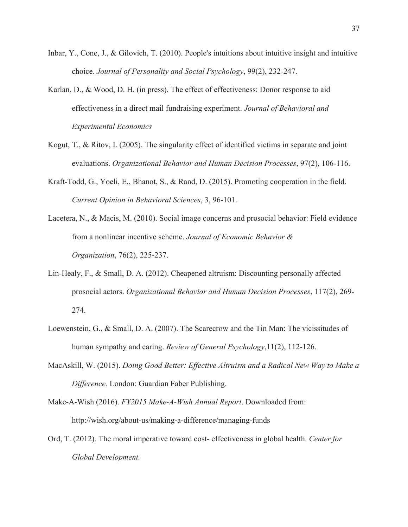- Inbar, Y., Cone, J., & Gilovich, T. (2010). People's intuitions about intuitive insight and intuitive choice. *Journal of Personality and Social Psychology*, 99(2), 232-247.
- Karlan, D., & Wood, D. H. (in press). The effect of effectiveness: Donor response to aid effectiveness in a direct mail fundraising experiment. *Journal of Behavioral and Experimental Economics*
- Kogut, T., & Ritov, I. (2005). The singularity effect of identified victims in separate and joint evaluations. *Organizational Behavior and Human Decision Processes*, 97(2), 106-116.
- Kraft-Todd, G., Yoeli, E., Bhanot, S., & Rand, D. (2015). Promoting cooperation in the field. *Current Opinion in Behavioral Sciences*, 3, 96-101.
- Lacetera, N., & Macis, M. (2010). Social image concerns and prosocial behavior: Field evidence from a nonlinear incentive scheme. *Journal of Economic Behavior & Organization*, 76(2), 225-237.
- Lin-Healy, F., & Small, D. A. (2012). Cheapened altruism: Discounting personally affected prosocial actors. *Organizational Behavior and Human Decision Processes*, 117(2), 269- 274.
- Loewenstein, G., & Small, D. A. (2007). The Scarecrow and the Tin Man: The vicissitudes of human sympathy and caring. *Review of General Psychology*,11(2), 112-126.
- MacAskill, W. (2015). *Doing Good Better: Effective Altruism and a Radical New Way to Make a Difference.* London: Guardian Faber Publishing.

Make-A-Wish (2016). *FY2015 Make-A-Wish Annual Report*. Downloaded from: http://wish.org/about-us/making-a-difference/managing-funds

Ord, T. (2012). The moral imperative toward cost- effectiveness in global health. *Center for Global Development.*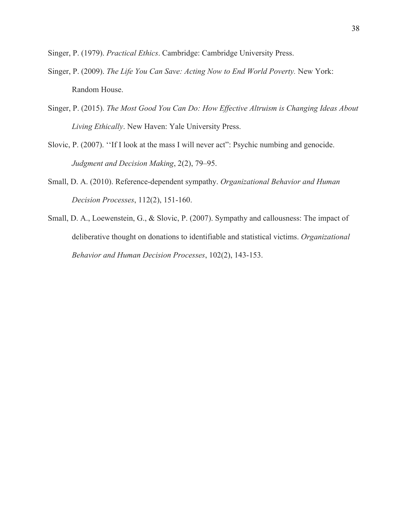Singer, P. (1979). *Practical Ethics*. Cambridge: Cambridge University Press.

- Singer, P. (2009). *The Life You Can Save: Acting Now to End World Poverty.* New York: Random House.
- Singer, P. (2015). *The Most Good You Can Do: How Effective Altruism is Changing Ideas About Living Ethically*. New Haven: Yale University Press.
- Slovic, P. (2007). ''If I look at the mass I will never act": Psychic numbing and genocide. *Judgment and Decision Making*, 2(2), 79–95.
- Small, D. A. (2010). Reference-dependent sympathy. *Organizational Behavior and Human Decision Processes*, 112(2), 151-160.
- Small, D. A., Loewenstein, G., & Slovic, P. (2007). Sympathy and callousness: The impact of deliberative thought on donations to identifiable and statistical victims. *Organizational Behavior and Human Decision Processes*, 102(2), 143-153.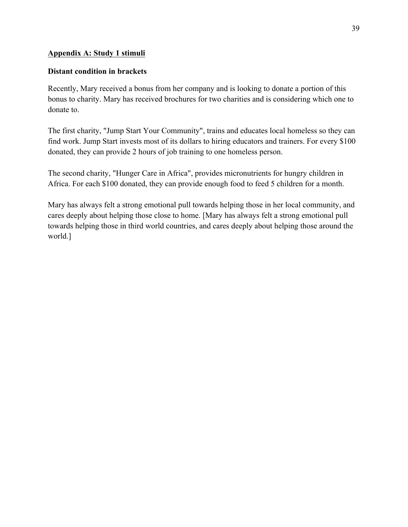## **Appendix A: Study 1 stimuli**

## **Distant condition in brackets**

Recently, Mary received a bonus from her company and is looking to donate a portion of this bonus to charity. Mary has received brochures for two charities and is considering which one to donate to.

The first charity, "Jump Start Your Community", trains and educates local homeless so they can find work. Jump Start invests most of its dollars to hiring educators and trainers. For every \$100 donated, they can provide 2 hours of job training to one homeless person.

The second charity, "Hunger Care in Africa", provides micronutrients for hungry children in Africa. For each \$100 donated, they can provide enough food to feed 5 children for a month.

Mary has always felt a strong emotional pull towards helping those in her local community, and cares deeply about helping those close to home. [Mary has always felt a strong emotional pull towards helping those in third world countries, and cares deeply about helping those around the world.]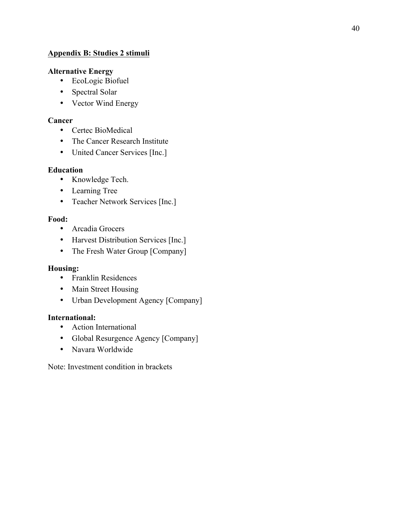# **Appendix B: Studies 2 stimuli**

# **Alternative Energy**

- EcoLogic Biofuel
- Spectral Solar
- Vector Wind Energy

# **Cancer**

- Certec BioMedical
- The Cancer Research Institute
- United Cancer Services [Inc.]

# **Education**

- Knowledge Tech.
- Learning Tree
- Teacher Network Services [Inc.]

# **Food:**

- Arcadia Grocers
- Harvest Distribution Services [Inc.]
- The Fresh Water Group [Company]

# **Housing:**

- Franklin Residences
- Main Street Housing
- Urban Development Agency [Company]

# **International:**

- Action International
- Global Resurgence Agency [Company]
- Navara Worldwide

Note: Investment condition in brackets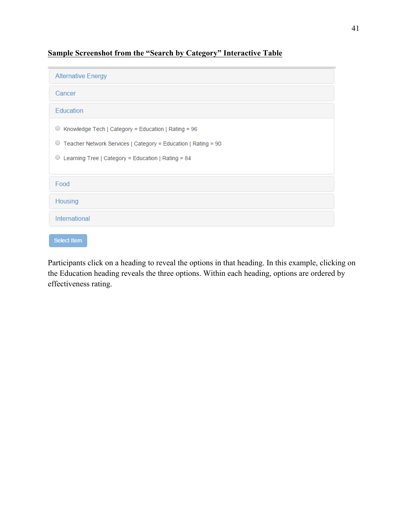**Sample Screenshot from the "Search by Category" Interactive Table**

Select Item

Participants click on a heading to reveal the options in that heading. In this example, clicking on the Education heading reveals the three options. Within each heading, options are ordered by effectiveness rating.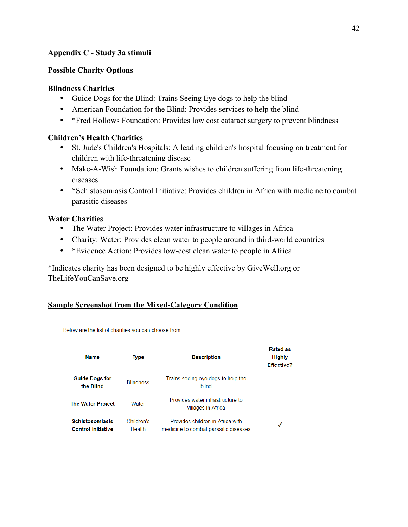## **Appendix C - Study 3a stimuli**

## **Possible Charity Options**

## **Blindness Charities**

- Guide Dogs for the Blind: Trains Seeing Eye dogs to help the blind
- American Foundation for the Blind: Provides services to help the blind
- \*Fred Hollows Foundation: Provides low cost cataract surgery to prevent blindness

## **Children's Health Charities**

- St. Jude's Children's Hospitals: A leading children's hospital focusing on treatment for children with life-threatening disease
- Make-A-Wish Foundation: Grants wishes to children suffering from life-threatening diseases
- \*Schistosomiasis Control Initiative: Provides children in Africa with medicine to combat parasitic diseases

## **Water Charities**

- The Water Project: Provides water infrastructure to villages in Africa
- Charity: Water: Provides clean water to people around in third-world countries
- \*Evidence Action: Provides low-cost clean water to people in Africa

\*Indicates charity has been designed to be highly effective by GiveWell.org or TheLifeYouCanSave.org

## **Sample Screenshot from the Mixed-Category Condition**

| <b>Name</b>                                         | <b>Type</b>          | <b>Description</b>                                                        | <b>Rated as</b><br><b>Highly</b><br><b>Effective?</b> |
|-----------------------------------------------------|----------------------|---------------------------------------------------------------------------|-------------------------------------------------------|
| <b>Guide Dogs for</b><br>the Blind                  | <b>Blindness</b>     | Trains seeing eye dogs to help the<br>blind                               |                                                       |
| <b>The Water Project</b>                            | Water                | Provides water infrastructure to<br>villages in Africa                    |                                                       |
| <b>Schistosomiasis</b><br><b>Control Initiative</b> | Children's<br>Health | Provides children in Africa with<br>medicine to combat parasitic diseases |                                                       |

Below are the list of charities you can choose from: